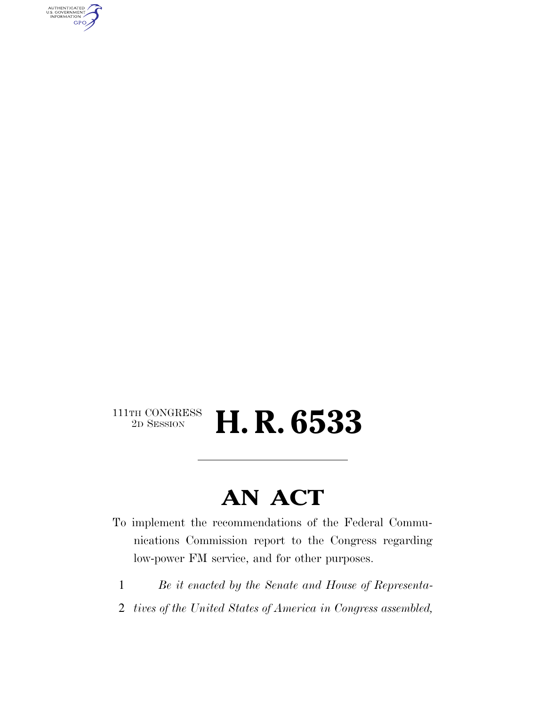AUTHENTICATED<br>U.S. GOVERNMENT<br>INFORMATION GPO

#### $\begin{array}{c} \textbf{111TH CONGRESS} \\ \textbf{2D} \textbf{SESSION} \end{array}$ 2D SESSION **H. R. 6533**

### **AN ACT**

- To implement the recommendations of the Federal Communications Commission report to the Congress regarding low-power FM service, and for other purposes.
	- 1 *Be it enacted by the Senate and House of Representa-*
- 2 *tives of the United States of America in Congress assembled,*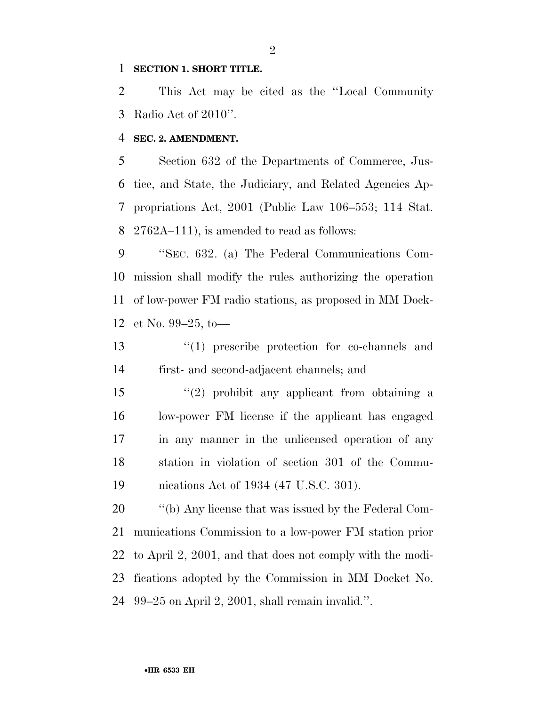#### **SECTION 1. SHORT TITLE.**

 This Act may be cited as the ''Local Community Radio Act of 2010''.

#### **SEC. 2. AMENDMENT.**

 Section 632 of the Departments of Commerce, Jus- tice, and State, the Judiciary, and Related Agencies Ap- propriations Act, 2001 (Public Law 106–553; 114 Stat. 2762A–111), is amended to read as follows:

 ''SEC. 632. (a) The Federal Communications Com- mission shall modify the rules authorizing the operation of low-power FM radio stations, as proposed in MM Dock-et No. 99–25, to—

 ''(1) prescribe protection for co-channels and first- and second-adjacent channels; and

 ''(2) prohibit any applicant from obtaining a low-power FM license if the applicant has engaged in any manner in the unlicensed operation of any station in violation of section 301 of the Commu-nications Act of 1934 (47 U.S.C. 301).

 ''(b) Any license that was issued by the Federal Com- munications Commission to a low-power FM station prior to April 2, 2001, and that does not comply with the modi- fications adopted by the Commission in MM Docket No. 99–25 on April 2, 2001, shall remain invalid.''.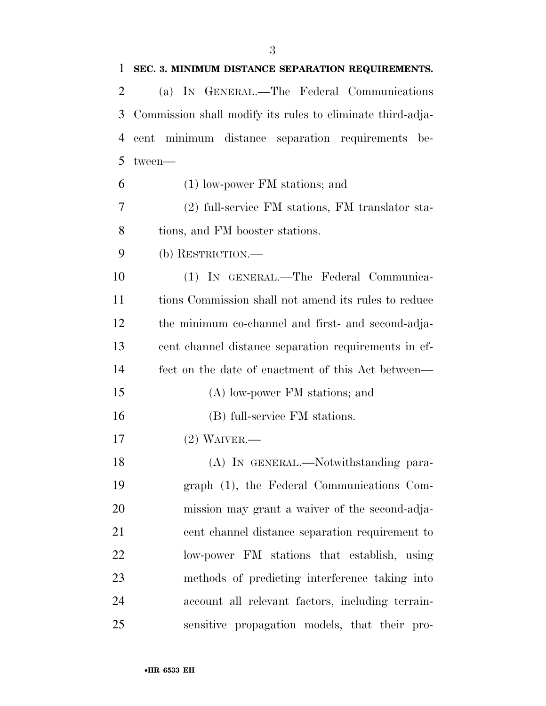| $\mathbf{1}$ | SEC. 3. MINIMUM DISTANCE SEPARATION REQUIREMENTS.          |
|--------------|------------------------------------------------------------|
| 2            | (a) IN GENERAL.—The Federal Communications                 |
| 3            | Commission shall modify its rules to eliminate third-adja- |
| 4            | cent minimum distance separation requirements be-          |
| 5            | tween-                                                     |
| 6            | $(1)$ low-power FM stations; and                           |
| 7            | (2) full-service FM stations, FM translator sta-           |
| 8            | tions, and FM booster stations.                            |
| 9            | (b) RESTRICTION.—                                          |
| 10           | (1) IN GENERAL.-The Federal Communica-                     |
| 11           | tions Commission shall not amend its rules to reduce       |
| 12           | the minimum co-channel and first- and second-adja-         |
| 13           | cent channel distance separation requirements in ef-       |
| 14           | fect on the date of enactment of this Act between—         |
| 15           | (A) low-power FM stations; and                             |
| 16           | (B) full-service FM stations.                              |
| 17           | $(2)$ WAIVER.—                                             |
| 18           | (A) IN GENERAL.—Notwithstanding para-                      |
| 19           | graph (1), the Federal Communications Com-                 |
| 20           | mission may grant a waiver of the second-adja-             |
| 21           | cent channel distance separation requirement to            |
| 22           | low-power FM stations that establish, using                |
| 23           | methods of predicting interference taking into             |
| 24           | account all relevant factors, including terrain-           |
| 25           | sensitive propagation models, that their pro-              |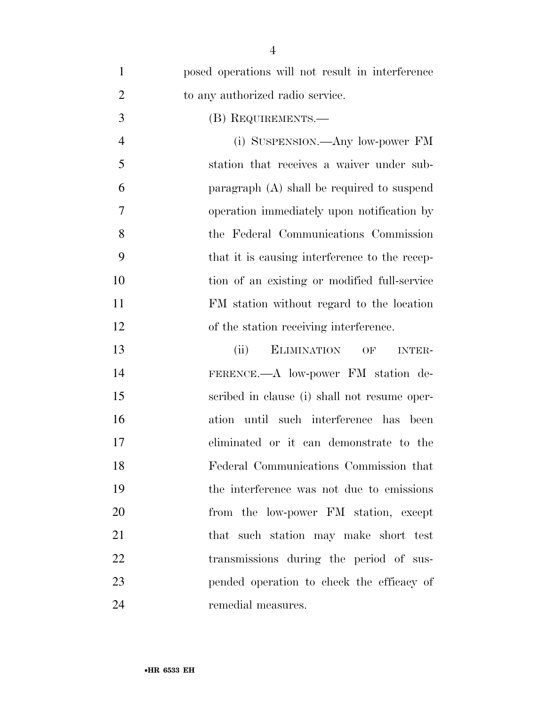| $\mathbf{1}$   | posed operations will not result in interference  |
|----------------|---------------------------------------------------|
| $\overline{2}$ | to any authorized radio service.                  |
| 3              | (B) REQUIREMENTS.—                                |
| $\overline{4}$ | (i) SUSPENSION.—Any low-power FM                  |
| 5              | station that receives a waiver under sub-         |
| 6              | paragraph $(A)$ shall be required to suspend      |
| 7              | operation immediately upon notification by        |
| 8              | the Federal Communications Commission             |
| 9              | that it is causing interference to the recep-     |
| 10             | tion of an existing or modified full-service      |
| 11             | FM station without regard to the location         |
| 12             | of the station receiving interference.            |
| 13             | <b>ELIMINATION</b><br>(ii)<br>OF<br><b>INTER-</b> |
| 14             | FERENCE.—A low-power FM station de-               |
| 15             | scribed in clause (i) shall not resume oper-      |
| 16             | ation until such interference has been            |
| 17             | eliminated or it can demonstrate to the           |
| 18             | Federal Communications Commission that            |
| 19             | the interference was not due to emissions         |
| 20             | from the low-power FM station, except             |
| 21             | that such station may make short test             |
| 22             | transmissions during the period of sus-           |
| 23             | pended operation to check the efficacy of         |
| 24             | remedial measures.                                |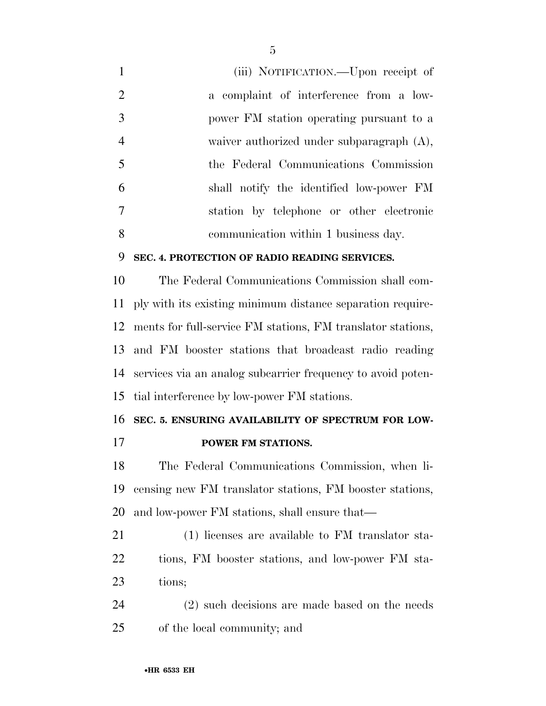(iii) NOTIFICATION.—Upon receipt of a complaint of interference from a low- power FM station operating pursuant to a waiver authorized under subparagraph (A), the Federal Communications Commission shall notify the identified low-power FM station by telephone or other electronic communication within 1 business day.

#### **SEC. 4. PROTECTION OF RADIO READING SERVICES.**

 The Federal Communications Commission shall com- ply with its existing minimum distance separation require- ments for full-service FM stations, FM translator stations, and FM booster stations that broadcast radio reading services via an analog subcarrier frequency to avoid poten-tial interference by low-power FM stations.

#### **SEC. 5. ENSURING AVAILABILITY OF SPECTRUM FOR LOW-**

#### **POWER FM STATIONS.**

 The Federal Communications Commission, when li- censing new FM translator stations, FM booster stations, and low-power FM stations, shall ensure that—

 (1) licenses are available to FM translator sta- tions, FM booster stations, and low-power FM sta-tions;

 (2) such decisions are made based on the needs of the local community; and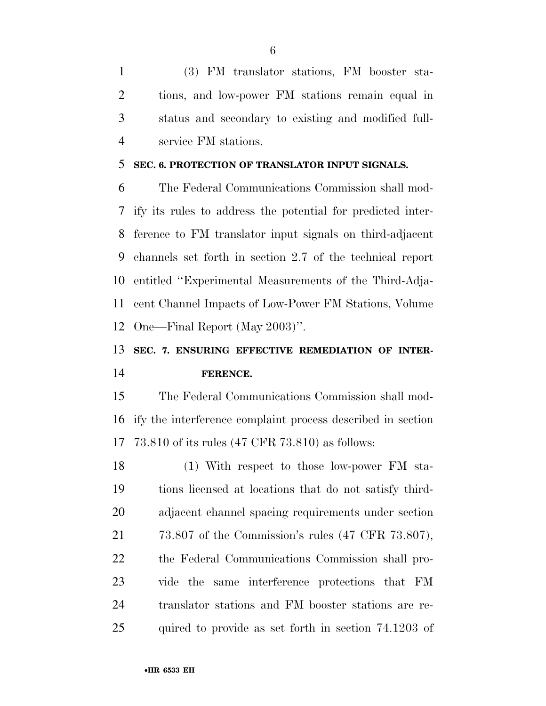(3) FM translator stations, FM booster sta- tions, and low-power FM stations remain equal in status and secondary to existing and modified full-service FM stations.

#### **SEC. 6. PROTECTION OF TRANSLATOR INPUT SIGNALS.**

 The Federal Communications Commission shall mod- ify its rules to address the potential for predicted inter- ference to FM translator input signals on third-adjacent channels set forth in section 2.7 of the technical report entitled ''Experimental Measurements of the Third-Adja- cent Channel Impacts of Low-Power FM Stations, Volume One—Final Report (May 2003)''.

#### **SEC. 7. ENSURING EFFECTIVE REMEDIATION OF INTER-FERENCE.**

 The Federal Communications Commission shall mod- ify the interference complaint process described in section 73.810 of its rules (47 CFR 73.810) as follows:

 (1) With respect to those low-power FM sta- tions licensed at locations that do not satisfy third- adjacent channel spacing requirements under section 73.807 of the Commission's rules (47 CFR 73.807), the Federal Communications Commission shall pro- vide the same interference protections that FM translator stations and FM booster stations are re-quired to provide as set forth in section 74.1203 of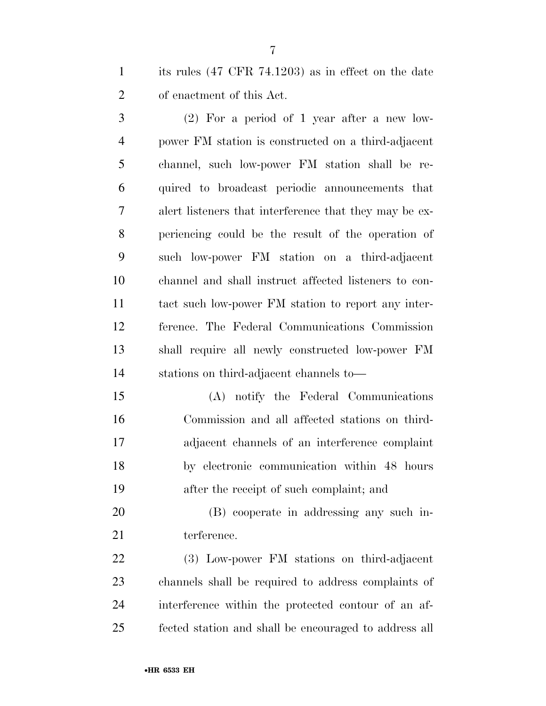its rules (47 CFR 74.1203) as in effect on the date of enactment of this Act.

 (2) For a period of 1 year after a new low- power FM station is constructed on a third-adjacent channel, such low-power FM station shall be re- quired to broadcast periodic announcements that alert listeners that interference that they may be ex- periencing could be the result of the operation of such low-power FM station on a third-adjacent channel and shall instruct affected listeners to con- tact such low-power FM station to report any inter- ference. The Federal Communications Commission shall require all newly constructed low-power FM stations on third-adjacent channels to—

 (A) notify the Federal Communications Commission and all affected stations on third- adjacent channels of an interference complaint by electronic communication within 48 hours after the receipt of such complaint; and

 (B) cooperate in addressing any such in-21 terference.

 (3) Low-power FM stations on third-adjacent channels shall be required to address complaints of interference within the protected contour of an af-fected station and shall be encouraged to address all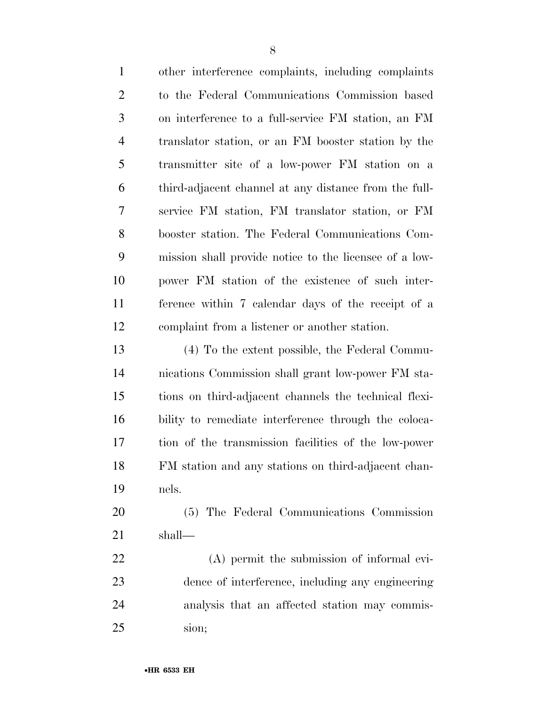| $\mathbf{1}$   | other interference complaints, including complaints    |
|----------------|--------------------------------------------------------|
| $\overline{2}$ | to the Federal Communications Commission based         |
| 3              | on interference to a full-service FM station, an FM    |
| $\overline{4}$ | translator station, or an FM booster station by the    |
| 5              | transmitter site of a low-power FM station on a        |
| 6              | third-adjacent channel at any distance from the full-  |
| 7              | service FM station, FM translator station, or FM       |
| 8              | booster station. The Federal Communications Com-       |
| 9              | mission shall provide notice to the licensee of a low- |
| 10             | power FM station of the existence of such inter-       |
| 11             | ference within 7 calendar days of the receipt of a     |
| 12             | complaint from a listener or another station.          |
| 13             | (4) To the extent possible, the Federal Commu-         |
| 14             | nications Commission shall grant low-power FM sta-     |
| 15             | tions on third-adjacent channels the technical flexi-  |
| 16             | bility to remediate interference through the coloca-   |
| 17             | tion of the transmission facilities of the low-power   |
| 18             | FM station and any stations on third-adjacent chan-    |
| 19             | nels.                                                  |
| 20             | (5) The Federal Communications Commission              |
| 21             | shall—                                                 |
| 22             | (A) permit the submission of informal evi-             |
| 23             | dence of interference, including any engineering       |
| 24             | analysis that an affected station may commis-          |

sion;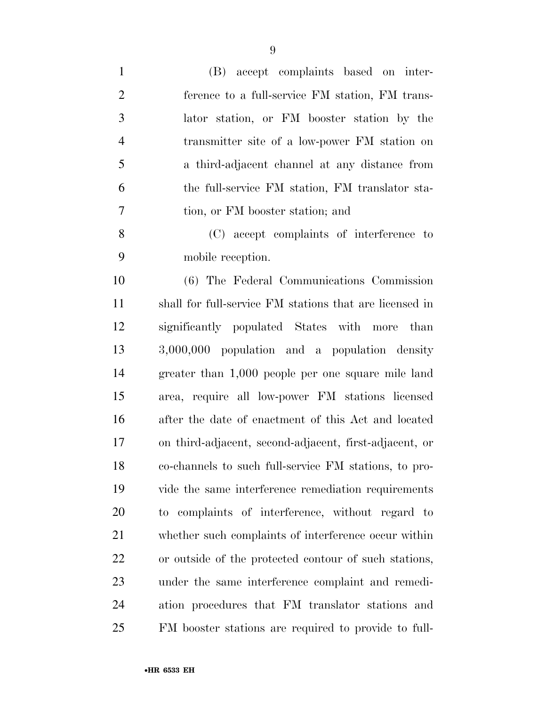| $\mathbf{1}$   | (B) accept complaints based on inter-                   |
|----------------|---------------------------------------------------------|
| $\overline{2}$ | ference to a full-service FM station, FM trans-         |
| 3              | lator station, or FM booster station by the             |
| $\overline{4}$ | transmitter site of a low-power FM station on           |
| 5              | a third-adjacent channel at any distance from           |
| 6              | the full-service FM station, FM translator sta-         |
| $\overline{7}$ | tion, or FM booster station; and                        |
| 8              | (C) accept complaints of interference to                |
| 9              | mobile reception.                                       |
| 10             | (6) The Federal Communications Commission               |
| 11             | shall for full-service FM stations that are licensed in |
| 12             | significantly populated States with more<br>than        |
| 13             | 3,000,000 population and a population density           |
| 14             | greater than 1,000 people per one square mile land      |
| 15             | area, require all low-power FM stations licensed        |
| 16             | after the date of enactment of this Act and located     |
| 17             | on third-adjacent, second-adjacent, first-adjacent, or  |
| 18             | co-channels to such full-service FM stations, to pro-   |
| 19             | vide the same interference remediation requirements     |
| 20             | to complaints of interference, without regard to        |
| 21             | whether such complaints of interference occur within    |
| 22             | or outside of the protected contour of such stations,   |
| 23             | under the same interference complaint and remedi-       |
| 24             | ation procedures that FM translator stations and        |
| 25             | FM booster stations are required to provide to full-    |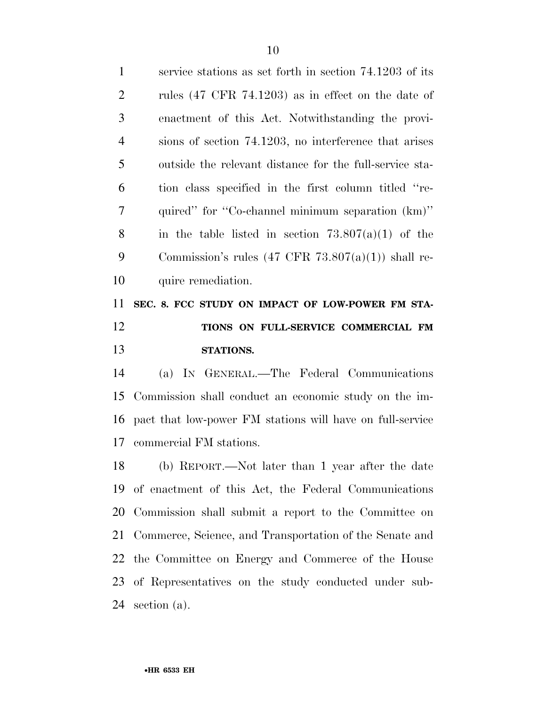| $\mathbf{1}$   | service stations as set forth in section 74.1203 of its       |
|----------------|---------------------------------------------------------------|
| $\overline{2}$ | rules $(47 \text{ CFR } 74.1203)$ as in effect on the date of |
| 3              | enactment of this Act. Notwithstanding the provi-             |
| $\overline{4}$ | sions of section 74.1203, no interference that arises         |
| 5              | outside the relevant distance for the full-service sta-       |
| 6              | tion class specified in the first column titled "re-          |
| 7              | quired" for "Co-channel minimum separation (km)"              |
| 8              | in the table listed in section $73.807(a)(1)$ of the          |
| 9              | Commission's rules $(47 \text{ CFR } 73.807(a)(1))$ shall re- |
| 10             | quire remediation.                                            |
| 11             | SEC. 8. FCC STUDY ON IMPACT OF LOW-POWER FM STA-              |
| 12             | TIONS ON FULL-SERVICE COMMERCIAL FM                           |
| 13             | STATIONS.                                                     |
| 14             | (a) IN GENERAL.—The Federal Communications                    |
|                | 15 Commission shall conduct an economic study on the im-      |

 pact that low-power FM stations will have on full-service commercial FM stations.

 (b) REPORT.—Not later than 1 year after the date of enactment of this Act, the Federal Communications Commission shall submit a report to the Committee on Commerce, Science, and Transportation of the Senate and the Committee on Energy and Commerce of the House of Representatives on the study conducted under sub-section (a).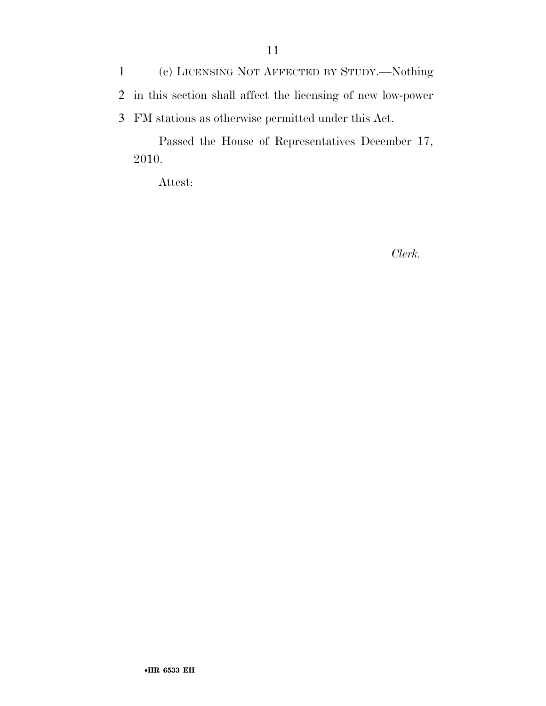1 (c) LICENSING NOT AFFECTED BY STUDY.—Nothing 2 in this section shall affect the licensing of new low-power 3 FM stations as otherwise permitted under this Act.

Passed the House of Representatives December 17, 2010.

Attest:

*Clerk.*